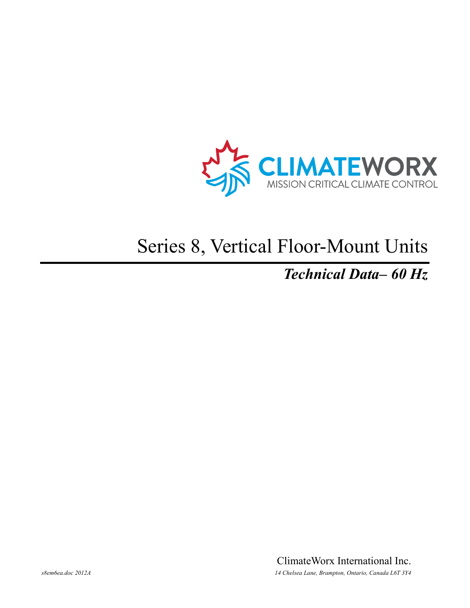

# Series 8, Vertical Floor-Mount Units

## **Technical Data-60 Hz**

ClimateWorx International Inc. 14 Chelsea Lane, Brampton, Ontario, Canada L6T 3Y4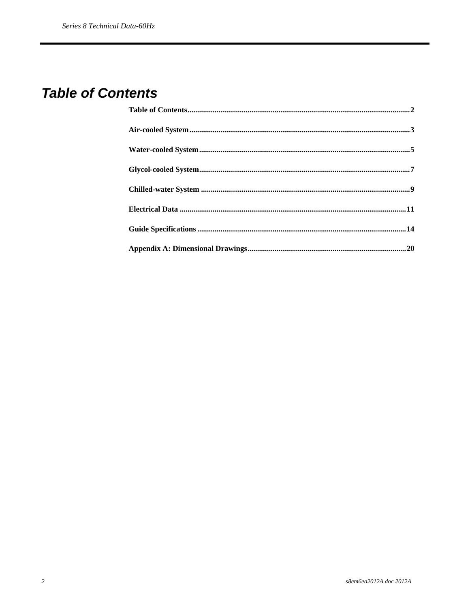## **Table of Contents**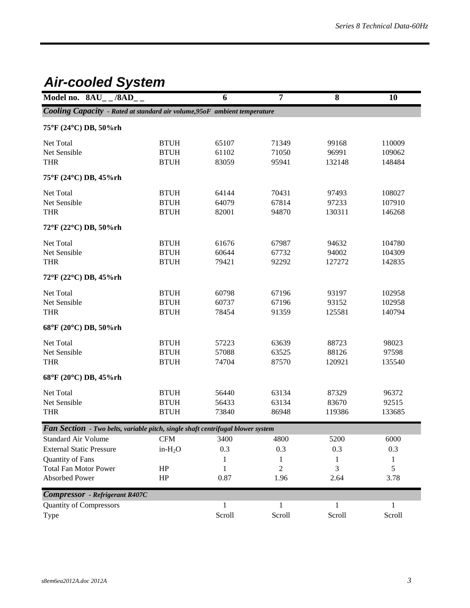## *Air-cooled System*

| Model no. $8AU_{-}$ /8AD <sub>-</sub> |                                                                                 | 6      | $\overline{7}$ | 8      | 10     |
|---------------------------------------|---------------------------------------------------------------------------------|--------|----------------|--------|--------|
|                                       | Cooling Capacity - Rated at standard air volume, 95oF ambient temperature       |        |                |        |        |
| 75°F (24°C) DB, 50%rh                 |                                                                                 |        |                |        |        |
| Net Total                             | <b>BTUH</b>                                                                     | 65107  | 71349          | 99168  | 110009 |
| Net Sensible                          | <b>BTUH</b>                                                                     | 61102  | 71050          | 96991  | 109062 |
| <b>THR</b>                            | <b>BTUH</b>                                                                     | 83059  | 95941          | 132148 | 148484 |
| 75°F (24°C) DB, 45%rh                 |                                                                                 |        |                |        |        |
| Net Total                             | <b>BTUH</b>                                                                     | 64144  | 70431          | 97493  | 108027 |
| Net Sensible                          | <b>BTUH</b>                                                                     | 64079  | 67814          | 97233  | 107910 |
| <b>THR</b>                            | <b>BTUH</b>                                                                     | 82001  | 94870          | 130311 | 146268 |
| 72°F (22°C) DB, 50%rh                 |                                                                                 |        |                |        |        |
| Net Total                             | <b>BTUH</b>                                                                     | 61676  | 67987          | 94632  | 104780 |
| Net Sensible                          | <b>BTUH</b>                                                                     | 60644  | 67732          | 94002  | 104309 |
| <b>THR</b>                            | <b>BTUH</b>                                                                     | 79421  | 92292          | 127272 | 142835 |
| 72°F (22°C) DB, 45%rh                 |                                                                                 |        |                |        |        |
| Net Total                             | <b>BTUH</b>                                                                     | 60798  | 67196          | 93197  | 102958 |
| Net Sensible                          | <b>BTUH</b>                                                                     | 60737  | 67196          | 93152  | 102958 |
| <b>THR</b>                            | <b>BTUH</b>                                                                     | 78454  | 91359          | 125581 | 140794 |
| 68°F (20°C) DB, 50%rh                 |                                                                                 |        |                |        |        |
| Net Total                             | <b>BTUH</b>                                                                     | 57223  | 63639          | 88723  | 98023  |
| Net Sensible                          | <b>BTUH</b>                                                                     | 57088  | 63525          | 88126  | 97598  |
| <b>THR</b>                            | <b>BTUH</b>                                                                     | 74704  | 87570          | 120921 | 135540 |
| 68°F (20°C) DB, 45%rh                 |                                                                                 |        |                |        |        |
| Net Total                             | <b>BTUH</b>                                                                     | 56440  | 63134          | 87329  | 96372  |
| Net Sensible                          | <b>BTUH</b>                                                                     | 56433  | 63134          | 83670  | 92515  |
| <b>THR</b>                            | $\operatorname{BTUH}$                                                           | 73840  | 86948          | 119386 | 133685 |
|                                       | Fan Section - Two belts, variable pitch, single shaft centrifugal blower system |        |                |        |        |
| <b>Standard Air Volume</b>            | $\mathbf{CFM}$                                                                  | 3400   | 4800           | 5200   | 6000   |
| <b>External Static Pressure</b>       | in- $H_2O$                                                                      | 0.3    | 0.3            | 0.3    | 0.3    |
| Quantity of Fans                      |                                                                                 |        | 1              |        | 1      |
| <b>Total Fan Motor Power</b>          | HP                                                                              | 1      | 2              | 3      | 5      |
| Absorbed Power                        | HP                                                                              | 0.87   | 1.96           | 2.64   | 3.78   |
| <b>Compressor</b> - Refrigerant R407C |                                                                                 |        |                |        |        |
| <b>Quantity of Compressors</b>        |                                                                                 | 1      | 1              | 1      |        |
| Type                                  |                                                                                 | Scroll | Scroll         | Scroll | Scroll |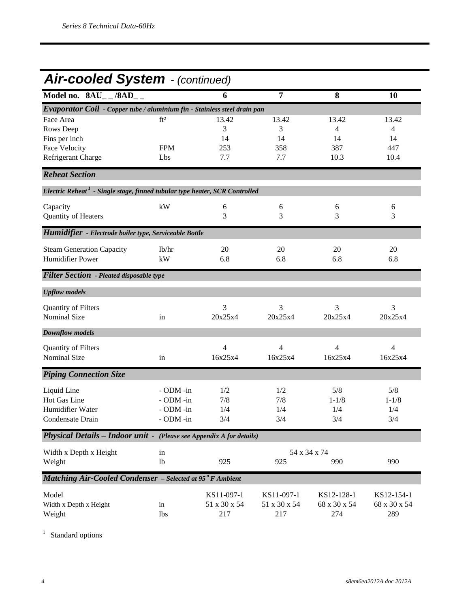## *Air-cooled System - (continued)*

| Model no. $8AU_{--}/8AD_{--}$                                                           |                 | 6            | $\overline{7}$ | 8            | 10             |
|-----------------------------------------------------------------------------------------|-----------------|--------------|----------------|--------------|----------------|
| Evaporator Coil - Copper tube / aluminium fin - Stainless steel drain pan               |                 |              |                |              |                |
| Face Area                                                                               | ft <sup>2</sup> | 13.42        | 13.42          | 13.42        | 13.42          |
| Rows Deep                                                                               |                 | 3            | 3              | 4            | $\overline{4}$ |
| Fins per inch                                                                           |                 | 14           | 14             | 14           | 14             |
| <b>Face Velocity</b>                                                                    | <b>FPM</b>      | 253          | 358            | 387          | 447            |
| Refrigerant Charge                                                                      | Lbs             | 7.7          | 7.7            | 10.3         | 10.4           |
| <b>Reheat Section</b>                                                                   |                 |              |                |              |                |
| Electric Reheat <sup>1</sup> - Single stage, finned tubular type heater, SCR Controlled |                 |              |                |              |                |
| Capacity                                                                                | kW              | 6            | 6              | 6            | 6              |
| Quantity of Heaters                                                                     |                 | 3            | 3              | 3            | 3              |
| Humidifier - Electrode boiler type, Serviceable Bottle                                  |                 |              |                |              |                |
|                                                                                         |                 |              |                |              |                |
| <b>Steam Generation Capacity</b>                                                        | lb/hr           | 20           | 20             | 20           | 20             |
| <b>Humidifier Power</b>                                                                 | kW              | 6.8          | 6.8            | 6.8          | 6.8            |
| <b>Filter Section</b> - Pleated disposable type                                         |                 |              |                |              |                |
| <b>Upflow</b> models                                                                    |                 |              |                |              |                |
| Quantity of Filters                                                                     |                 | 3            | 3              | 3            | 3              |
| <b>Nominal Size</b>                                                                     | in              | 20x25x4      | 20x25x4        | 20x25x4      | 20x25x4        |
| <b>Downflow models</b>                                                                  |                 |              |                |              |                |
|                                                                                         |                 | 4            | 4              | 4            | 4              |
| Quantity of Filters<br>Nominal Size                                                     |                 | 16x25x4      | 16x25x4        | 16x25x4      | 16x25x4        |
|                                                                                         | in              |              |                |              |                |
| <b>Piping Connection Size</b>                                                           |                 |              |                |              |                |
| Liquid Line                                                                             | - ODM -in       | 1/2          | 1/2            | 5/8          | 5/8            |
| Hot Gas Line                                                                            | - ODM -in       | 7/8          | 7/8            | $1 - 1/8$    | $1 - 1/8$      |
| Humidifier Water                                                                        | - ODM -in       | 1/4          | 1/4            | 1/4          | 1/4            |
| Condensate Drain                                                                        | - ODM -in       | 3/4          | 3/4            | 3/4          | 3/4            |
| Physical Details - Indoor unit - (Please see Appendix A for details)                    |                 |              |                |              |                |
| Width x Depth x Height                                                                  | in              |              |                | 54 x 34 x 74 |                |
| Weight                                                                                  | 1 <sub>b</sub>  | 925          | 925            | 990          | 990            |
| <b>Matching Air-Cooled Condenser</b> - Selected at 95° F Ambient                        |                 |              |                |              |                |
|                                                                                         |                 |              |                |              |                |
| Model                                                                                   |                 | KS11-097-1   | KS11-097-1     | KS12-128-1   | KS12-154-1     |
| Width x Depth x Height                                                                  | in              | 51 x 30 x 54 | 51 x 30 x 54   | 68 x 30 x 54 | 68 x 30 x 54   |
| Weight                                                                                  | lbs             | 217          | 217            | 274          | 289            |

<sup>1</sup> Standard options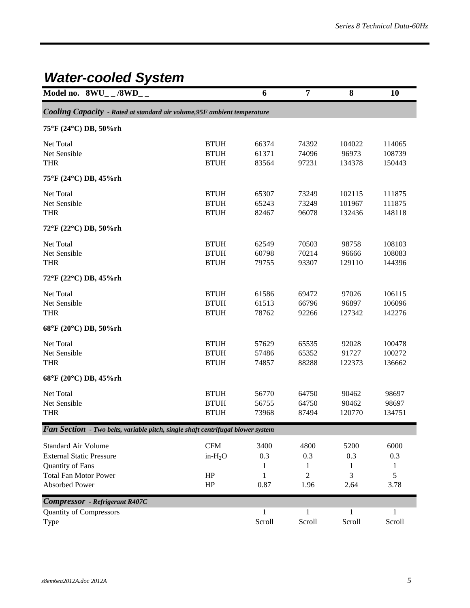## *Water-cooled System*

| Model no. $8\text{WU}_{-}$ /8WD_                                                                                                           |                                           | 6                             | 7                                          | 8                             | 10                            |
|--------------------------------------------------------------------------------------------------------------------------------------------|-------------------------------------------|-------------------------------|--------------------------------------------|-------------------------------|-------------------------------|
| Cooling Capacity - Rated at standard air volume, 95F ambient temperature                                                                   |                                           |                               |                                            |                               |                               |
| 75°F (24°C) DB, 50%rh                                                                                                                      |                                           |                               |                                            |                               |                               |
| Net Total<br>Net Sensible<br><b>THR</b>                                                                                                    | <b>BTUH</b><br><b>BTUH</b><br><b>BTUH</b> | 66374<br>61371<br>83564       | 74392<br>74096<br>97231                    | 104022<br>96973<br>134378     | 114065<br>108739<br>150443    |
| 75°F (24°C) DB, 45%rh                                                                                                                      |                                           |                               |                                            |                               |                               |
| Net Total<br>Net Sensible<br><b>THR</b>                                                                                                    | <b>BTUH</b><br><b>BTUH</b><br><b>BTUH</b> | 65307<br>65243<br>82467       | 73249<br>73249<br>96078                    | 102115<br>101967<br>132436    | 111875<br>111875<br>148118    |
| 72°F (22°C) DB, 50%rh                                                                                                                      |                                           |                               |                                            |                               |                               |
| Net Total<br>Net Sensible<br><b>THR</b>                                                                                                    | <b>BTUH</b><br><b>BTUH</b><br><b>BTUH</b> | 62549<br>60798<br>79755       | 70503<br>70214<br>93307                    | 98758<br>96666<br>129110      | 108103<br>108083<br>144396    |
| 72°F (22°C) DB, 45%rh                                                                                                                      |                                           |                               |                                            |                               |                               |
| Net Total<br>Net Sensible<br><b>THR</b>                                                                                                    | <b>BTUH</b><br><b>BTUH</b><br><b>BTUH</b> | 61586<br>61513<br>78762       | 69472<br>66796<br>92266                    | 97026<br>96897<br>127342      | 106115<br>106096<br>142276    |
| 68°F (20°C) DB, 50%rh                                                                                                                      |                                           |                               |                                            |                               |                               |
| Net Total<br>Net Sensible<br><b>THR</b>                                                                                                    | <b>BTUH</b><br><b>BTUH</b><br><b>BTUH</b> | 57629<br>57486<br>74857       | 65535<br>65352<br>88288                    | 92028<br>91727<br>122373      | 100478<br>100272<br>136662    |
| 68°F (20°C) DB, 45%rh                                                                                                                      |                                           |                               |                                            |                               |                               |
| Net Total<br>Net Sensible<br><b>THR</b>                                                                                                    | <b>BTUH</b><br><b>BTUH</b><br><b>BTUH</b> | 56770<br>56755<br>73968       | 64750<br>64750<br>87494                    | 90462<br>90462<br>120770      | 98697<br>98697<br>134751      |
| Fan Section - Two belts, variable pitch, single shaft centrifugal blower system                                                            |                                           |                               |                                            |                               |                               |
| <b>Standard Air Volume</b><br><b>External Static Pressure</b><br><b>Quantity of Fans</b><br><b>Total Fan Motor Power</b><br>Absorbed Power | <b>CFM</b><br>$in-H2O$<br>HP<br>$\rm{HP}$ | 3400<br>0.3<br>1<br>1<br>0.87 | 4800<br>0.3<br>1<br>$\overline{2}$<br>1.96 | 5200<br>0.3<br>1<br>3<br>2.64 | 6000<br>0.3<br>1<br>5<br>3.78 |
| <b>Compressor</b> - Refrigerant R407C                                                                                                      |                                           |                               |                                            |                               |                               |
| <b>Quantity of Compressors</b><br>Type                                                                                                     |                                           | $\mathbf{1}$<br>Scroll        | 1<br>Scroll                                | 1<br>Scroll                   | Scroll                        |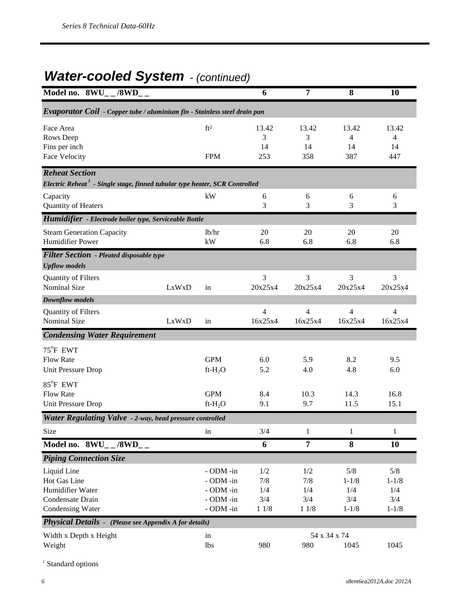## *Water-cooled System - (continued)*

| Model no. $8\text{WU}_{-}$ /8WD_                                                                                 |       |                                                               | 6                                | 7                                  | 8                                           | 10                                          |
|------------------------------------------------------------------------------------------------------------------|-------|---------------------------------------------------------------|----------------------------------|------------------------------------|---------------------------------------------|---------------------------------------------|
| Evaporator Coil - Copper tube / aluminium fin - Stainless steel drain pan                                        |       |                                                               |                                  |                                    |                                             |                                             |
| Face Area<br>Rows Deep<br>Fins per inch<br><b>Face Velocity</b>                                                  |       | ft <sup>2</sup><br><b>FPM</b>                                 | 13.42<br>3<br>14<br>253          | 13.42<br>3<br>14<br>358            | 13.42<br>4<br>14<br>387                     | 13.42<br>4<br>14<br>447                     |
| <b>Reheat Section</b><br>Electric Reheat <sup>1</sup> - Single stage, finned tubular type heater, SCR Controlled |       |                                                               |                                  |                                    |                                             |                                             |
| Capacity<br>Quantity of Heaters                                                                                  |       | kW                                                            | 6<br>3                           | 6<br>3                             | 6<br>3                                      | 6<br>3                                      |
| Humidifier - Electrode boiler type, Serviceable Bottle                                                           |       |                                                               |                                  |                                    |                                             |                                             |
| <b>Steam Generation Capacity</b><br><b>Humidifier Power</b>                                                      |       | lb/hr<br>kW                                                   | 20<br>6.8                        | 20<br>6.8                          | 20<br>6.8                                   | 20<br>6.8                                   |
| <b>Filter Section</b> - Pleated disposable type<br><b>Upflow</b> models                                          |       |                                                               |                                  |                                    |                                             |                                             |
| Quantity of Filters<br><b>Nominal Size</b>                                                                       | LxWxD | in                                                            | 3<br>20x25x4                     | 3<br>20x25x4                       | 3<br>20x25x4                                | 3<br>20x25x4                                |
| <b>Downflow models</b>                                                                                           |       |                                                               |                                  |                                    |                                             |                                             |
| Quantity of Filters<br><b>Nominal Size</b>                                                                       | LxWxD | in                                                            | 4<br>16x25x4                     | 4<br>16x25x4                       | 4<br>16x25x4                                | 4<br>16x25x4                                |
| <b>Condensing Water Requirement</b>                                                                              |       |                                                               |                                  |                                    |                                             |                                             |
| 75°F EWT<br><b>Flow Rate</b><br><b>Unit Pressure Drop</b>                                                        |       | <b>GPM</b><br>$ft-H2O$                                        | 6.0<br>5.2                       | 5.9<br>4.0                         | 8.2<br>4.8                                  | 9.5<br>6.0                                  |
| $85^{\circ}$ F EWT<br><b>Flow Rate</b><br>Unit Pressure Drop                                                     |       | <b>GPM</b><br>$ft-H_2O$                                       | 8.4<br>9.1                       | 10.3<br>9.7                        | 14.3<br>11.5                                | 16.8<br>15.1                                |
| Water Regulating Valve - 2-way, head pressure controlled                                                         |       |                                                               |                                  |                                    |                                             |                                             |
| Size                                                                                                             |       | in                                                            | 3/4                              | 1                                  | $\,1$                                       | 1                                           |
| Model no. $8\text{WU}_{-}$ /8WD__                                                                                |       |                                                               | 6                                | $\overline{7}$                     | 8                                           | 10                                          |
| <b>Piping Connection Size</b>                                                                                    |       |                                                               |                                  |                                    |                                             |                                             |
| Liquid Line<br>Hot Gas Line<br>Humidifier Water<br>Condensate Drain<br>Condensing Water                          |       | - ODM -in<br>- ODM -in<br>- ODM -in<br>- ODM -in<br>- ODM -in | 1/2<br>7/8<br>1/4<br>3/4<br>11/8 | 1/2<br>7/8<br>1/4<br>3/4<br>$11/8$ | 5/8<br>$1 - 1/8$<br>1/4<br>3/4<br>$1 - 1/8$ | 5/8<br>$1 - 1/8$<br>1/4<br>3/4<br>$1 - 1/8$ |
| <b>Physical Details -</b> (Please see Appendix A for details)                                                    |       |                                                               |                                  |                                    |                                             |                                             |
| Width x Depth x Height<br>Weight                                                                                 |       | in<br>lbs                                                     | 980                              | 54 x 34 x 74<br>980                | 1045                                        | 1045                                        |

 $^{\rm 1}$  Standard options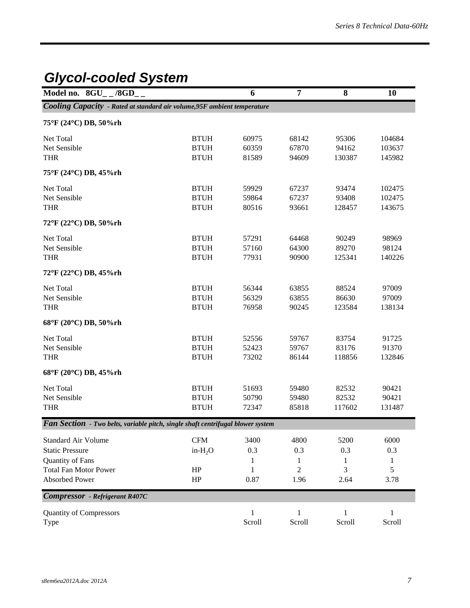## *Glycol-cooled System*

| Model no. $8GU_{-}$ /8GD <sub>-</sub>                                           |             | 6            | $\overline{7}$ | 8            | 10               |
|---------------------------------------------------------------------------------|-------------|--------------|----------------|--------------|------------------|
| Cooling Capacity - Rated at standard air volume, 95F ambient temperature        |             |              |                |              |                  |
| 75°F (24°C) DB, 50%rh                                                           |             |              |                |              |                  |
| Net Total                                                                       | <b>BTUH</b> | 60975        | 68142          | 95306        |                  |
| Net Sensible                                                                    | <b>BTUH</b> | 60359        | 67870          | 94162        | 104684<br>103637 |
| <b>THR</b>                                                                      | <b>BTUH</b> | 81589        | 94609          | 130387       | 145982           |
| 75°F (24°C) DB, 45%rh                                                           |             |              |                |              |                  |
| Net Total                                                                       | <b>BTUH</b> | 59929        | 67237          | 93474        | 102475           |
| Net Sensible                                                                    | <b>BTUH</b> | 59864        | 67237          | 93408        | 102475           |
| <b>THR</b>                                                                      | <b>BTUH</b> | 80516        | 93661          | 128457       | 143675           |
| 72°F (22°C) DB, 50%rh                                                           |             |              |                |              |                  |
| Net Total                                                                       | <b>BTUH</b> | 57291        | 64468          | 90249        | 98969            |
| Net Sensible                                                                    | <b>BTUH</b> | 57160        | 64300          | 89270        | 98124            |
| <b>THR</b>                                                                      | <b>BTUH</b> | 77931        | 90900          | 125341       | 140226           |
| 72°F (22°C) DB, 45%rh                                                           |             |              |                |              |                  |
| Net Total                                                                       | <b>BTUH</b> | 56344        | 63855          | 88524        | 97009            |
| Net Sensible                                                                    | <b>BTUH</b> | 56329        | 63855          | 86630        | 97009            |
| <b>THR</b>                                                                      | <b>BTUH</b> | 76958        | 90245          | 123584       | 138134           |
| 68°F (20°C) DB, 50%rh                                                           |             |              |                |              |                  |
| Net Total                                                                       | <b>BTUH</b> | 52556        | 59767          | 83754        | 91725            |
| Net Sensible                                                                    | <b>BTUH</b> | 52423        | 59767          | 83176        | 91370            |
| <b>THR</b>                                                                      | <b>BTUH</b> | 73202        | 86144          | 118856       | 132846           |
| 68°F (20°C) DB, 45%rh                                                           |             |              |                |              |                  |
| Net Total                                                                       | <b>BTUH</b> | 51693        | 59480          | 82532        | 90421            |
| Net Sensible                                                                    | <b>BTUH</b> | 50790        | 59480          | 82532        | 90421            |
| <b>THR</b>                                                                      | <b>BTUH</b> | 72347        | 85818          | 117602       | 131487           |
| Fan Section - Two belts, variable pitch, single shaft centrifugal blower system |             |              |                |              |                  |
| <b>Standard Air Volume</b>                                                      | <b>CFM</b>  | 3400         | 4800           | 5200         | 6000             |
| <b>Static Pressure</b>                                                          | $in-H2O$    | 0.3          | 0.3            | 0.3          | 0.3              |
| Quantity of Fans                                                                |             | 1            | 1              | 1            | 1                |
| <b>Total Fan Motor Power</b>                                                    | HP          | 1            | $\overline{c}$ | 3            | 5                |
| Absorbed Power                                                                  | HP          | 0.87         | 1.96           | 2.64         | 3.78             |
| <b>Compressor</b> - Refrigerant R407C                                           |             |              |                |              |                  |
| <b>Quantity of Compressors</b>                                                  |             | $\mathbf{1}$ | $\mathbf{1}$   | $\mathbf{1}$ | 1                |
| Type                                                                            |             | Scroll       | Scroll         | Scroll       | Scroll           |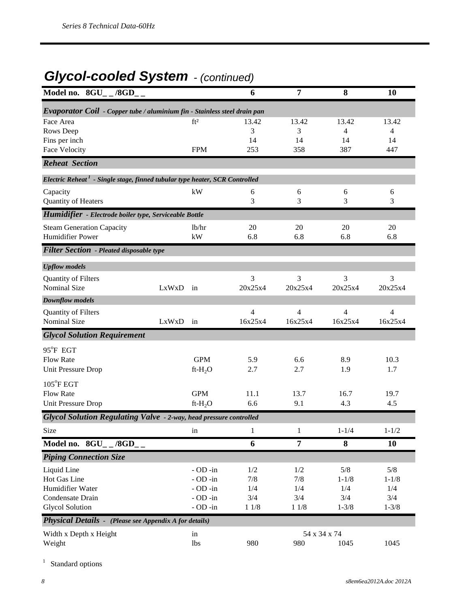## *Glycol-cooled System - (continued)*

| Model no. $8GU_{-}$ /8GD <sub>--</sub>                                                  |       |                 | 6       | $\overline{7}$ | 8         | 10             |
|-----------------------------------------------------------------------------------------|-------|-----------------|---------|----------------|-----------|----------------|
| Evaporator Coil - Copper tube / aluminium fin - Stainless steel drain pan               |       |                 |         |                |           |                |
| Face Area                                                                               |       | ft <sup>2</sup> | 13.42   | 13.42          | 13.42     | 13.42          |
| Rows Deep                                                                               |       |                 | 3       | 3              | 4         | 4              |
| Fins per inch                                                                           |       |                 | 14      | 14             | 14        | 14             |
| Face Velocity                                                                           |       | <b>FPM</b>      | 253     | 358            | 387       | 447            |
| <b>Reheat Section</b>                                                                   |       |                 |         |                |           |                |
| Electric Reheat <sup>1</sup> - Single stage, finned tubular type heater, SCR Controlled |       |                 |         |                |           |                |
| Capacity                                                                                |       | kW              | 6       | 6              | 6         | 6              |
| Quantity of Heaters                                                                     |       |                 | 3       | 3              | 3         | 3              |
| Humidifier - Electrode boiler type, Serviceable Bottle                                  |       |                 |         |                |           |                |
| <b>Steam Generation Capacity</b>                                                        |       | 1b/hr           | 20      | 20             | 20        | 20             |
| <b>Humidifier Power</b>                                                                 |       | kW              | 6.8     | 6.8            | 6.8       | 6.8            |
| <b>Filter Section - Pleated disposable type</b>                                         |       |                 |         |                |           |                |
| <b>Upflow</b> models                                                                    |       |                 |         |                |           |                |
| Quantity of Filters                                                                     |       |                 | 3       | 3              | 3         | 3              |
| <b>Nominal Size</b>                                                                     | LxWxD | in              | 20x25x4 | 20x25x4        | 20x25x4   | 20x25x4        |
| <b>Downflow models</b>                                                                  |       |                 |         |                |           |                |
| Quantity of Filters                                                                     |       |                 | 4       | 4              | 4         | $\overline{4}$ |
| <b>Nominal Size</b>                                                                     | LxWxD | in              | 16x25x4 | 16x25x4        | 16x25x4   | 16x25x4        |
| <b>Glycol Solution Requirement</b>                                                      |       |                 |         |                |           |                |
| 95°F EGT                                                                                |       |                 |         |                |           |                |
| <b>Flow Rate</b>                                                                        |       | <b>GPM</b>      | 5.9     | 6.6            | 8.9       | 10.3           |
| Unit Pressure Drop                                                                      |       | $ft-H2O$        | 2.7     | 2.7            | 1.9       | 1.7            |
| 105°F EGT                                                                               |       |                 |         |                |           |                |
| <b>Flow Rate</b>                                                                        |       | <b>GPM</b>      | 11.1    | 13.7           | 16.7      | 19.7           |
| Unit Pressure Drop                                                                      |       | $ft-H_2O$       | 6.6     | 9.1            | 4.3       | 4.5            |
| Glycol Solution Regulating Valve - 2-way, head pressure controlled                      |       |                 |         |                |           |                |
| Size                                                                                    |       | in              | 1       | $\,1$          | $1 - 1/4$ | $1 - 1/2$      |
| Model no. 8GU_ _ /8GD_ _                                                                |       |                 | 6       | $\overline{7}$ | 8         | 10             |
| <b>Piping Connection Size</b>                                                           |       |                 |         |                |           |                |
| Liquid Line                                                                             |       | $-$ OD $-$ in   | 1/2     | 1/2            | $5/8$     | 5/8            |
| Hot Gas Line                                                                            |       | $-$ OD $-$ in   | 7/8     | 7/8            | $1 - 1/8$ | $1 - 1/8$      |
| Humidifier Water                                                                        |       | $-$ OD $-$ in   | 1/4     | 1/4            | 1/4       | 1/4            |
| Condensate Drain                                                                        |       | $-$ OD $-$ in   | 3/4     | 3/4            | 3/4       | 3/4            |
| <b>Glycol Solution</b>                                                                  |       | $-$ OD $-$ in   | $11/8$  | 11/8           | $1 - 3/8$ | $1 - 3/8$      |
| Physical Details - (Please see Appendix A for details)                                  |       |                 |         |                |           |                |
| Width x Depth x Height                                                                  |       | in              |         | 54 x 34 x 74   |           |                |
| Weight                                                                                  |       | <b>lbs</b>      | 980     | 980            | 1045      | 1045           |

<sup>1</sup> Standard options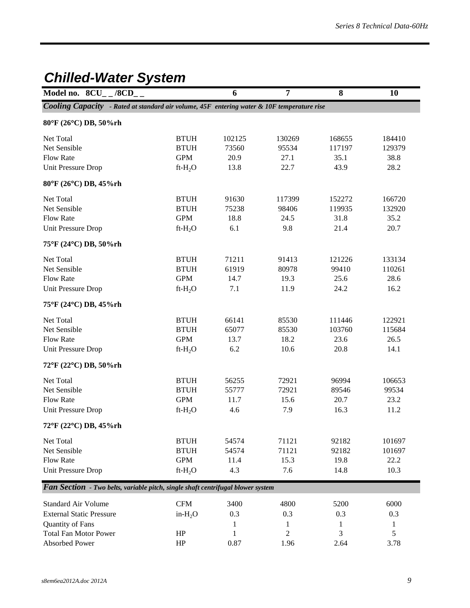## *Chilled-Water System*

| Model no. $8CU_{-}$ /8CD <sub>-</sub>                                                      |                | 6      | 7              | 8      | 10     |
|--------------------------------------------------------------------------------------------|----------------|--------|----------------|--------|--------|
| Cooling Capacity - Rated at standard air volume, 45F entering water & 10F temperature rise |                |        |                |        |        |
| 80°F (26°C) DB, 50%rh                                                                      |                |        |                |        |        |
| Net Total                                                                                  | <b>BTUH</b>    | 102125 | 130269         | 168655 | 184410 |
| Net Sensible                                                                               | <b>BTUH</b>    | 73560  | 95534          | 117197 | 129379 |
| <b>Flow Rate</b>                                                                           | <b>GPM</b>     | 20.9   | 27.1           | 35.1   | 38.8   |
| Unit Pressure Drop                                                                         | $ft-H_2O$      | 13.8   | 22.7           | 43.9   | 28.2   |
| 80°F (26°C) DB, 45%rh                                                                      |                |        |                |        |        |
| Net Total                                                                                  | <b>BTUH</b>    | 91630  | 117399         | 152272 | 166720 |
| Net Sensible                                                                               | <b>BTUH</b>    | 75238  | 98406          | 119935 | 132920 |
| <b>Flow Rate</b>                                                                           | <b>GPM</b>     | 18.8   | 24.5           | 31.8   | 35.2   |
| Unit Pressure Drop                                                                         | $ft-H2O$       | 6.1    | 9.8            | 21.4   | 20.7   |
| 75°F (24°C) DB, 50%rh                                                                      |                |        |                |        |        |
| Net Total                                                                                  | <b>BTUH</b>    | 71211  | 91413          | 121226 | 133134 |
| Net Sensible                                                                               | <b>BTUH</b>    | 61919  | 80978          | 99410  | 110261 |
| <b>Flow Rate</b>                                                                           | <b>GPM</b>     | 14.7   | 19.3           | 25.6   | 28.6   |
| Unit Pressure Drop                                                                         | $ft-H_2O$      | 7.1    | 11.9           | 24.2   | 16.2   |
| 75°F (24°C) DB, 45%rh                                                                      |                |        |                |        |        |
| Net Total                                                                                  | <b>BTUH</b>    | 66141  | 85530          | 111446 | 122921 |
| Net Sensible                                                                               | <b>BTUH</b>    | 65077  | 85530          | 103760 | 115684 |
| <b>Flow Rate</b>                                                                           | <b>GPM</b>     | 13.7   | 18.2           | 23.6   | 26.5   |
| Unit Pressure Drop                                                                         | $ft-H2O$       | 6.2    | 10.6           | 20.8   | 14.1   |
| 72°F (22°C) DB, 50%rh                                                                      |                |        |                |        |        |
| Net Total                                                                                  | <b>BTUH</b>    | 56255  | 72921          | 96994  | 106653 |
| Net Sensible                                                                               | <b>BTUH</b>    | 55777  | 72921          | 89546  | 99534  |
| <b>Flow Rate</b>                                                                           | <b>GPM</b>     | 11.7   | 15.6           | 20.7   | 23.2   |
| Unit Pressure Drop                                                                         | $ft-H_2O$      | 4.6    | 7.9            | 16.3   | 11.2   |
| 72°F (22°C) DB, 45%rh                                                                      |                |        |                |        |        |
| Net Total                                                                                  | <b>BTUH</b>    | 54574  | 71121          | 92182  | 101697 |
| Net Sensible                                                                               | <b>BTUH</b>    | 54574  | 71121          | 92182  | 101697 |
| <b>Flow Rate</b>                                                                           | <b>GPM</b>     | 11.4   | 15.3           | 19.8   | 22.2   |
| <b>Unit Pressure Drop</b>                                                                  | $ft-H_2O$      | 4.3    | 7.6            | 14.8   | 10.3   |
| Fan Section - Two belts, variable pitch, single shaft centrifugal blower system            |                |        |                |        |        |
| <b>Standard Air Volume</b>                                                                 | $\mathbf{CFM}$ | 3400   | 4800           | 5200   | 6000   |
| <b>External Static Pressure</b>                                                            | $in-H2O$       | 0.3    | 0.3            | 0.3    | 0.3    |
| Quantity of Fans                                                                           |                | 1      | 1              | 1      | 1      |
| <b>Total Fan Motor Power</b>                                                               | HP             | 1      | $\overline{2}$ | 3      | 5      |
| Absorbed Power                                                                             | HP             | 0.87   | 1.96           | 2.64   | 3.78   |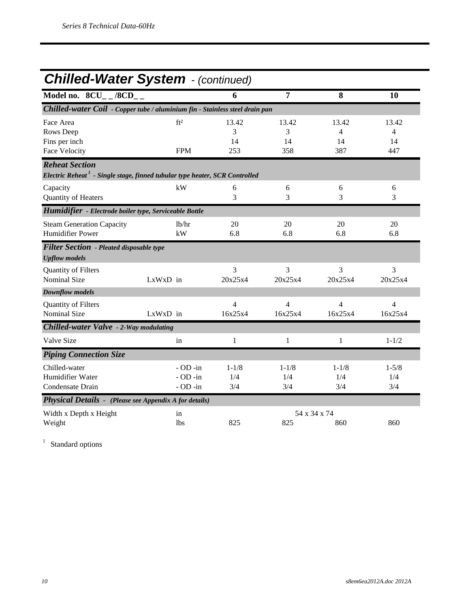## *Chilled-Water System - (continued)*

| Model no. $8CU_{--}/8CD_{--}$                                                                                    |                                                 | 6                       | 7                       | 8                       | 10                        |
|------------------------------------------------------------------------------------------------------------------|-------------------------------------------------|-------------------------|-------------------------|-------------------------|---------------------------|
| Chilled-water Coil - Copper tube / aluminium fin - Stainless steel drain pan                                     |                                                 |                         |                         |                         |                           |
| Face Area<br>Rows Deep<br>Fins per inch<br><b>Face Velocity</b>                                                  | ft <sup>2</sup><br><b>FPM</b>                   | 13.42<br>3<br>14<br>253 | 13.42<br>3<br>14<br>358 | 13.42<br>4<br>14<br>387 | 13.42<br>4<br>14<br>447   |
| <b>Reheat Section</b><br>Electric Reheat <sup>1</sup> - Single stage, finned tubular type heater, SCR Controlled |                                                 |                         |                         |                         |                           |
| Capacity<br>Quantity of Heaters                                                                                  | kW                                              | 6<br>3                  | 6<br>3                  | 6<br>3                  | 6<br>3                    |
| Humidifier - Electrode boiler type, Serviceable Bottle                                                           |                                                 |                         |                         |                         |                           |
| <b>Steam Generation Capacity</b><br><b>Humidifier Power</b>                                                      | lb/hr<br>kW                                     | 20<br>6.8               | 20<br>6.8               | 20<br>6.8               | 20<br>6.8                 |
| <b>Filter Section</b> - Pleated disposable type<br><b>Upflow</b> models                                          |                                                 |                         |                         |                         |                           |
| Quantity of Filters<br><b>Nominal Size</b>                                                                       | LxWxD in                                        | 3<br>20x25x4            | 3<br>20x25x4            | 3<br>20x25x4            | 3<br>20x25x4              |
| <b>Downflow models</b>                                                                                           |                                                 |                         |                         |                         |                           |
| Quantity of Filters<br><b>Nominal Size</b>                                                                       | LxWxD in                                        | 4<br>16x25x4            | 4<br>16x25x4            | 4<br>16x25x4            | $\overline{4}$<br>16x25x4 |
| Chilled-water Valve - 2-Way modulating                                                                           |                                                 |                         |                         |                         |                           |
| Valve Size                                                                                                       | in                                              | 1                       | $\mathbf{1}$            | 1                       | $1 - 1/2$                 |
| <b>Piping Connection Size</b>                                                                                    |                                                 |                         |                         |                         |                           |
| Chilled-water<br>Humidifier Water<br>Condensate Drain                                                            | $-$ OD $-$ in<br>$-$ OD $-$ in<br>$-$ OD $-$ in | $1 - 1/8$<br>1/4<br>3/4 | $1 - 1/8$<br>1/4<br>3/4 | $1 - 1/8$<br>1/4<br>3/4 | $1 - 5/8$<br>1/4<br>3/4   |
| <b>Physical Details -</b> (Please see Appendix A for details)                                                    |                                                 |                         |                         |                         |                           |
| Width x Depth x Height<br>Weight                                                                                 | in<br>1 <sub>bs</sub>                           | 825                     | 825                     | 54 x 34 x 74<br>860     | 860                       |

<sup>1</sup> Standard options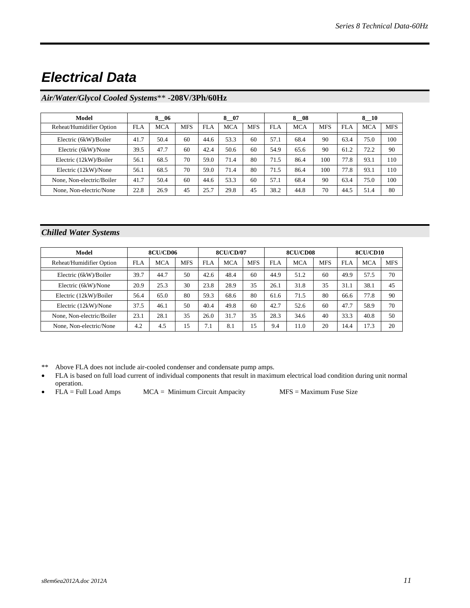### *Electrical Data*

### *Air/Water/Glycol Cooled Systems*\*\* -**208V/3Ph/60Hz**

| Model                     | 8 06       |            | 8 07       |      |            | 8<br>-08   |      |            | 8 10       |      |            |            |
|---------------------------|------------|------------|------------|------|------------|------------|------|------------|------------|------|------------|------------|
| Reheat/Humidifier Option  | <b>FLA</b> | <b>MCA</b> | <b>MFS</b> | FLA  | <b>MCA</b> | <b>MFS</b> | FLA  | <b>MCA</b> | <b>MFS</b> | FLA  | <b>MCA</b> | <b>MFS</b> |
| Electric (6kW)/Boiler     | 41.7       | 50.4       | 60         | 44.6 | 53.3       | 60         | 57.1 | 68.4       | 90         | 63.4 | 75.0       | 100        |
| Electric (6kW)/None       | 39.5       | 47.7       | 60         | 42.4 | 50.6       | 60         | 54.9 | 65.6       | 90         | 61.2 | 72.2       | 90         |
| Electric (12kW)/Boiler    | 56.1       | 68.5       | 70         | 59.0 | 71.4       | 80         | 71.5 | 86.4       | 100        | 77.8 | 93.1       | 110        |
| Electric (12kW)/None      | 56.1       | 68.5       | 70         | 59.0 | 71.4       | 80         | 71.5 | 86.4       | 100        | 77.8 | 93.1       | 110        |
| None, Non-electric/Boiler | 41.7       | 50.4       | 60         | 44.6 | 53.3       | 60         | 57.1 | 68.4       | 90         | 63.4 | 75.0       | 100        |
| None, Non-electric/None   | 22.8       | 26.9       | 45         | 25.7 | 29.8       | 45         | 38.2 | 44.8       | 70         | 44.5 | 51.4       | 80         |

### *Chilled Water Systems*

| Model                     | 8CU/CD06   |            |            | <b>8CU/CD/07</b> |            |            | 8CU/CD08   |            |            | 8CU/CD10 |            |            |
|---------------------------|------------|------------|------------|------------------|------------|------------|------------|------------|------------|----------|------------|------------|
| Reheat/Humidifier Option  | <b>FLA</b> | <b>MCA</b> | <b>MFS</b> | <b>FLA</b>       | <b>MCA</b> | <b>MFS</b> | <b>FLA</b> | <b>MCA</b> | <b>MFS</b> | FLA      | <b>MCA</b> | <b>MFS</b> |
| Electric (6kW)/Boiler     | 39.7       | 44.7       | 50         | 42.6             | 48.4       | 60         | 44.9       | 51.2       | 60         | 49.9     | 57.5       | 70         |
| Electric (6kW)/None       | 20.9       | 25.3       | 30         | 23.8             | 28.9       | 35         | 26.1       | 31.8       | 35         | 31.1     | 38.1       | 45         |
| Electric (12kW)/Boiler    | 56.4       | 65.0       | 80         | 59.3             | 68.6       | 80         | 61.6       | 71.5       | 80         | 66.6     | 77.8       | 90         |
| Electric (12kW)/None      | 37.5       | 46.1       | 50         | 40.4             | 49.8       | 60         | 42.7       | 52.6       | 60         | 47.7     | 58.9       | 70         |
| None, Non-electric/Boiler | 23.1       | 28.1       | 35         | 26.0             | 31.7       | 35         | 28.3       | 34.6       | 40         | 33.3     | 40.8       | 50         |
| None, Non-electric/None   | 4.2        | 4.5        | 15         | 7.1              | 8.1        | 15         | 9.4        | 11.0       | 20         | 14.4     | 17.3       | 20         |

\*\* Above FLA does not include air-cooled condenser and condensate pump amps.

- FLA is based on full load current of individual components that result in maximum electrical load condition during unit normal operation.
- FLA = Full Load Amps MCA = Minimum Circuit Ampacity MFS = Maximum Fuse Size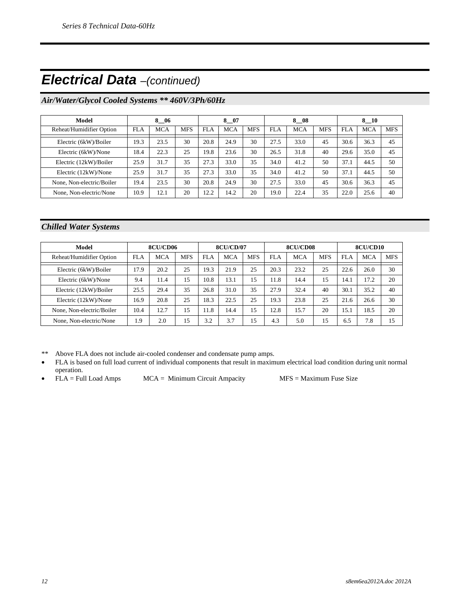### *Electrical Data –(continued)*

### *Air/Water/Glycol Cooled Systems \*\* 460V/3Ph/60Hz*

| Model                     | 8 06       |      |            | 8 07       |            |            | 8 08 |            |            | 8 10 |            |            |
|---------------------------|------------|------|------------|------------|------------|------------|------|------------|------------|------|------------|------------|
| Reheat/Humidifier Option  | <b>FLA</b> | MCA  | <b>MFS</b> | <b>FLA</b> | <b>MCA</b> | <b>MFS</b> | FLA  | <b>MCA</b> | <b>MFS</b> | FLA  | <b>MCA</b> | <b>MFS</b> |
| Electric (6kW)/Boiler     | 19.3       | 23.5 | 30         | 20.8       | 24.9       | 30         | 27.5 | 33.0       | 45         | 30.6 | 36.3       | 45         |
| Electric (6kW)/None       | 18.4       | 22.3 | 25         | 19.8       | 23.6       | 30         | 26.5 | 31.8       | 40         | 29.6 | 35.0       | 45         |
| Electric (12kW)/Boiler    | 25.9       | 31.7 | 35         | 27.3       | 33.0       | 35         | 34.0 | 41.2       | 50         | 37.1 | 44.5       | 50         |
| Electric (12kW)/None      | 25.9       | 31.7 | 35         | 27.3       | 33.0       | 35         | 34.0 | 41.2       | 50         | 37.1 | 44.5       | 50         |
| None, Non-electric/Boiler | 19.4       | 23.5 | 30         | 20.8       | 24.9       | 30         | 27.5 | 33.0       | 45         | 30.6 | 36.3       | 45         |
| None, Non-electric/None   | 10.9       | 12.1 | 20         | 12.2       | 14.2       | 20         | 19.0 | 22.4       | 35         | 22.0 | 25.6       | 40         |

### *Chilled Water Systems*

| Model                     | 8CU/CD06   |            | <b>8CU/CD/07</b> |            |            | 8CU/CD08   |      |            | 8CU/CD10   |      |            |            |
|---------------------------|------------|------------|------------------|------------|------------|------------|------|------------|------------|------|------------|------------|
| Reheat/Humidifier Option  | <b>FLA</b> | <b>MCA</b> | <b>MFS</b>       | <b>FLA</b> | <b>MCA</b> | <b>MFS</b> | FLA  | <b>MCA</b> | <b>MFS</b> | FLA  | <b>MCA</b> | <b>MFS</b> |
| Electric (6kW)/Boiler     | l7.9       | 20.2       | 25               | 19.3       | 21.9       | 25         | 20.3 | 23.2       | 25         | 22.6 | 26.0       | 30         |
| Electric (6kW)/None       | 9.4        | 11.4       | 15               | 10.8       | 13.1       | 15         | 11.8 | 14.4       | 15         | 14.1 | 17.2       | 20         |
| Electric (12kW)/Boiler    | 25.5       | 29.4       | 35               | 26.8       | 31.0       | 35         | 27.9 | 32.4       | 40         | 30.1 | 35.2       | 40         |
| Electric (12kW)/None      | 16.9       | 20.8       | 25               | 18.3       | 22.5       | 25         | 19.3 | 23.8       | 25         | 21.6 | 26.6       | 30         |
| None, Non-electric/Boiler | 10.4       | 12.7       | 15               | 11.8       | 14.4       | 15         | 12.8 | 15.7       | 20         | 15.1 | 18.5       | 20         |
| None, Non-electric/None   | 1.9        | 2.0        | 15               | 3.2        | 3.7        | 15         | 4.3  | 5.0        | 15         | 6.5  | 7.8        | 15         |

\*\* Above FLA does not include air-cooled condenser and condensate pump amps.

- FLA is based on full load current of individual components that result in maximum electrical load condition during unit normal operation.
- FLA = Full Load Amps MCA = Minimum Circuit Ampacity MFS = Maximum Fuse Size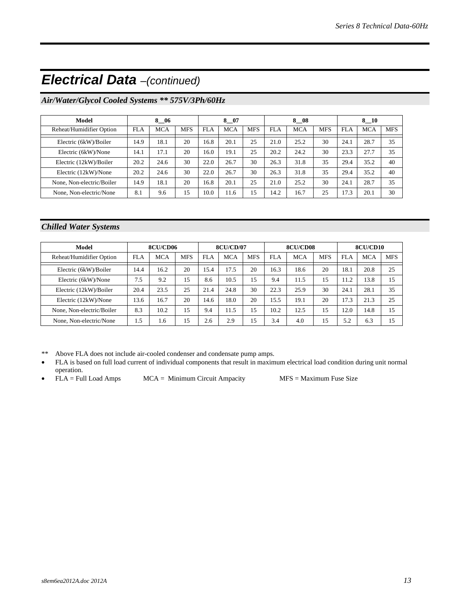### *Electrical Data –(continued)*

### *Air/Water/Glycol Cooled Systems \*\* 575V/3Ph/60Hz*

| Model                     |            | 8 06 |            |            | 8 07       |            |      | 8<br>- 08  |            |      | 8 10       |            |
|---------------------------|------------|------|------------|------------|------------|------------|------|------------|------------|------|------------|------------|
| Reheat/Humidifier Option  | <b>FLA</b> | MCA  | <b>MFS</b> | <b>FLA</b> | <b>MCA</b> | <b>MFS</b> | FLA  | <b>MCA</b> | <b>MFS</b> | FLA  | <b>MCA</b> | <b>MFS</b> |
| Electric (6kW)/Boiler     | 14.9       | 18.1 | 20         | 16.8       | 20.1       | 25         | 21.0 | 25.2       | 30         | 24.1 | 28.7       | 35         |
| Electric (6kW)/None       | 14.1       | 17.1 | 20         | 16.0       | 19.1       | 25         | 20.2 | 24.2       | 30         | 23.3 | 27.7       | 35         |
| Electric (12kW)/Boiler    | 20.2       | 24.6 | 30         | 22.0       | 26.7       | 30         | 26.3 | 31.8       | 35         | 29.4 | 35.2       | 40         |
| Electric (12kW)/None      | 20.2       | 24.6 | 30         | 22.0       | 26.7       | 30         | 26.3 | 31.8       | 35         | 29.4 | 35.2       | 40         |
| None, Non-electric/Boiler | 14.9       | 18.1 | 20         | 16.8       | 20.1       | 25         | 21.0 | 25.2       | 30         | 24.1 | 28.7       | 35         |
| None, Non-electric/None   | 8.1        | 9.6  | 15         | 10.0       | 11.6       | 15         | 14.2 | 16.7       | 25         | 17.3 | 20.1       | 30         |

### *Chilled Water Systems*

| Model                     | 8CU/CD06   |            | <b>8CU/CD/07</b> |            |            | 8CU/CD08   |            |            | 8CU/CD10   |      |            |            |
|---------------------------|------------|------------|------------------|------------|------------|------------|------------|------------|------------|------|------------|------------|
| Reheat/Humidifier Option  | <b>FLA</b> | <b>MCA</b> | <b>MFS</b>       | <b>FLA</b> | <b>MCA</b> | <b>MFS</b> | <b>FLA</b> | <b>MCA</b> | <b>MFS</b> | FLA  | <b>MCA</b> | <b>MFS</b> |
| Electric (6kW)/Boiler     | 14.4       | 16.2       | 20               | 15.4       | 17.5       | 20         | 16.3       | 18.6       | 20         | 18.1 | 20.8       | 25         |
| Electric (6kW)/None       | 7.5        | 9.2        | 15               | 8.6        | 10.5       | 15         | 9.4        | 11.5       | 15         | 11.2 | 13.8       | 15         |
| Electric (12kW)/Boiler    | 20.4       | 23.5       | 25               | 21.4       | 24.8       | 30         | 22.3       | 25.9       | 30         | 24.1 | 28.1       | 35         |
| Electric (12kW)/None      | 13.6       | 16.7       | 20               | 14.6       | 18.0       | 20         | 15.5       | 19.1       | 20         | 17.3 | 21.3       | 25         |
| None, Non-electric/Boiler | 8.3        | 10.2       | 15               | 9.4        | 11.5       | 15         | 10.2       | 12.5       | 15         | 12.0 | 14.8       | 15         |
| None, Non-electric/None   | 1.5        | 1.6        | 15               | 2.6        | 2.9        | 15         | 3.4        | 4.0        | 15         | 5.2  | 6.3        | 15         |

\*\* Above FLA does not include air-cooled condenser and condensate pump amps.

- FLA is based on full load current of individual components that result in maximum electrical load condition during unit normal operation.
- FLA = Full Load Amps MCA = Minimum Circuit Ampacity MFS = Maximum Fuse Size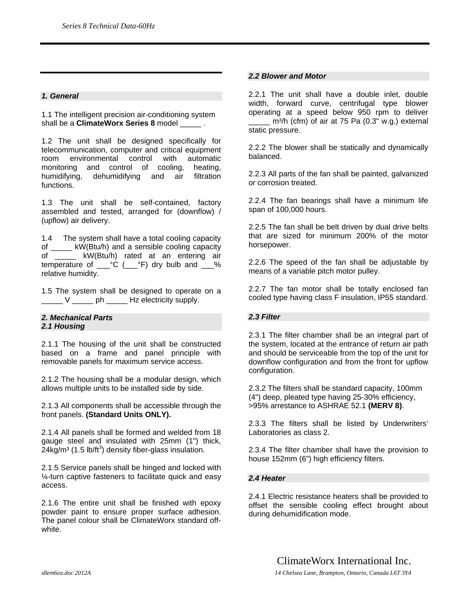#### *1. General*

1.1 The intelligent precision air-conditioning system shall be a **ClimateWorx Series 8** model  $\qquad \qquad$ .

1.2 The unit shall be designed specifically for telecommunication, computer and critical equipment room environmental control with automatic monitoring and control of cooling, heating, humidifying, dehumidifying and air filtration functions.

1.3 The unit shall be self-contained, factory assembled and tested, arranged for (downflow) / (upflow) air delivery.

1.4 The system shall have a total cooling capacity of \_\_\_\_\_ kW(Btu/h) and a sensible cooling capacity of \_\_\_\_\_ kW(Btu/h) rated at an entering air temperature of  $C^{\circ}$  ( $C^{\circ}$ F) dry bulb and  $C^{\circ}$ relative humidity.

1.5 The system shall be designed to operate on a \_\_\_\_\_ V \_\_\_\_\_ ph \_\_\_\_\_ Hz electricity supply.

#### *2. Mechanical Parts 2.1 Housing*

2.1.1 The housing of the unit shall be constructed based on a frame and panel principle with removable panels for maximum service access.

2.1.2 The housing shall be a modular design, which allows multiple units to be installed side by side.

2.1.3 All components shall be accessible through the front panels. **(Standard Units ONLY).**

2.1.4 All panels shall be formed and welded from 18 gauge steel and insulated with 25mm (1") thick,  $24$ kg/m $3$  (1.5 lb/ft $3$ ) density fiber-glass insulation.

2.1.5 Service panels shall be hinged and locked with ¼-turn captive fasteners to facilitate quick and easy access.

2.1.6 The entire unit shall be finished with epoxy powder paint to ensure proper surface adhesion. The panel colour shall be ClimateWorx standard offwhite.

#### *2.2 Blower and Motor*

2.2.1 The unit shall have a double inlet, double width, forward curve, centrifugal type blower operating at a speed below 950 rpm to deliver  $m^3/h$  (cfm) of air at 75 Pa (0.3" w.g.) external static pressure.

2.2.2 The blower shall be statically and dynamically balanced.

2.2.3 All parts of the fan shall be painted, galvanized or corrosion treated.

2.2.4 The fan bearings shall have a minimum life span of 100,000 hours.

2.2.5 The fan shall be belt driven by dual drive belts that are sized for minimum 200% of the motor horsepower.

2.2.6 The speed of the fan shall be adjustable by means of a variable pitch motor pulley.

2.2.7 The fan motor shall be totally enclosed fan cooled type having class F insulation, IP55 standard.

#### *2.3 Filter*

2.3.1 The filter chamber shall be an integral part of the system, located at the entrance of return air path and should be serviceable from the top of the unit for downflow configuration and from the front for upflow configuration.

2.3.2 The filters shall be standard capacity, 100mm (4") deep, pleated type having 25-30% efficiency, >95% arrestance to ASHRAE 52.1 **(MERV 8)**.

2.3.3 The filters shall be listed by Underwriters' Laboratories as class 2.

2.3.4 The filter chamber shall have the provision to house 152mm (6") high efficiency filters.

#### *2.4 Heater*

2.4.1 Electric resistance heaters shall be provided to offset the sensible cooling effect brought about during dehumidification mode.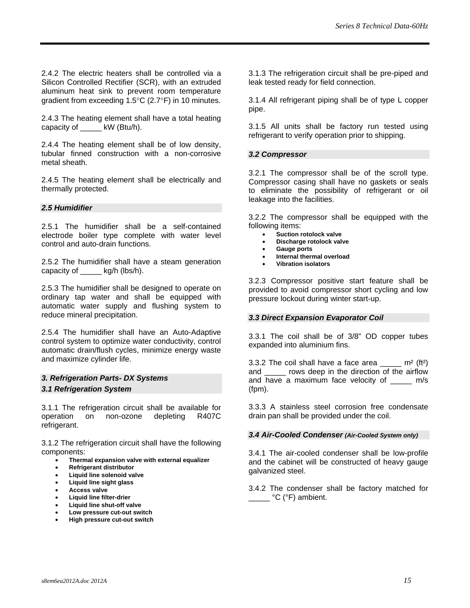2.4.2 The electric heaters shall be controlled via a Silicon Controlled Rectifier (SCR), with an extruded aluminum heat sink to prevent room temperature gradient from exceeding 1.5°C (2.7°F) in 10 minutes.

2.4.3 The heating element shall have a total heating capacity of \_\_\_\_\_ kW (Btu/h).

2.4.4 The heating element shall be of low density, tubular finned construction with a non-corrosive metal sheath.

2.4.5 The heating element shall be electrically and thermally protected.

#### *2.5 Humidifier*

2.5.1 The humidifier shall be a self-contained electrode boiler type complete with water level control and auto-drain functions.

2.5.2 The humidifier shall have a steam generation capacity of \_\_\_\_\_ kg/h (lbs/h).

2.5.3 The humidifier shall be designed to operate on ordinary tap water and shall be equipped with automatic water supply and flushing system to reduce mineral precipitation.

2.5.4 The humidifier shall have an Auto-Adaptive control system to optimize water conductivity, control automatic drain/flush cycles, minimize energy waste and maximize cylinder life.

### *3. Refrigeration Parts- DX Systems 3.1 Refrigeration System*

3.1.1 The refrigeration circuit shall be available for operation on non-ozone depleting R407C refrigerant.

3.1.2 The refrigeration circuit shall have the following components:

- **Thermal expansion valve with external equalizer**
- **Refrigerant distributor**
- **Liquid line solenoid valve**
- **Liquid line sight glass**
- **Access valve**
- **Liquid line filter-drier**
- **Liquid line shut-off valve**
- **Low pressure cut-out switch**  • **High pressure cut-out switch**

3.1.3 The refrigeration circuit shall be pre-piped and leak tested ready for field connection.

3.1.4 All refrigerant piping shall be of type L copper pipe.

3.1.5 All units shall be factory run tested using refrigerant to verify operation prior to shipping.

#### *3.2 Compressor*

3.2.1 The compressor shall be of the scroll type. Compressor casing shall have no gaskets or seals to eliminate the possibility of refrigerant or oil leakage into the facilities.

3.2.2 The compressor shall be equipped with the following items:

- **Suction rotolock valve**
- **Discharge rotolock valve**
- **Gauge ports**
- **Internal thermal overload**
- **Vibration isolators**

3.2.3 Compressor positive start feature shall be provided to avoid compressor short cycling and low pressure lockout during winter start-up.

#### *3.3 Direct Expansion Evaporator Coil*

3.3.1 The coil shall be of 3/8" OD copper tubes expanded into aluminium fins.

3.3.2 The coil shall have a face area  $\frac{1}{2}$  m<sup>2</sup> (ft<sup>2</sup>) and \_\_\_\_\_ rows deep in the direction of the airflow and have a maximum face velocity of \_\_\_\_\_ m/s (fpm).

3.3.3 A stainless steel corrosion free condensate drain pan shall be provided under the coil.

#### *3.4 Air-Cooled Condenser (Air-Cooled System only)*

3.4.1 The air-cooled condenser shall be low-profile and the cabinet will be constructed of heavy gauge galvanized steel.

3.4.2 The condenser shall be factory matched for  $\frac{1}{\sqrt{C}}$  °C (°F) ambient.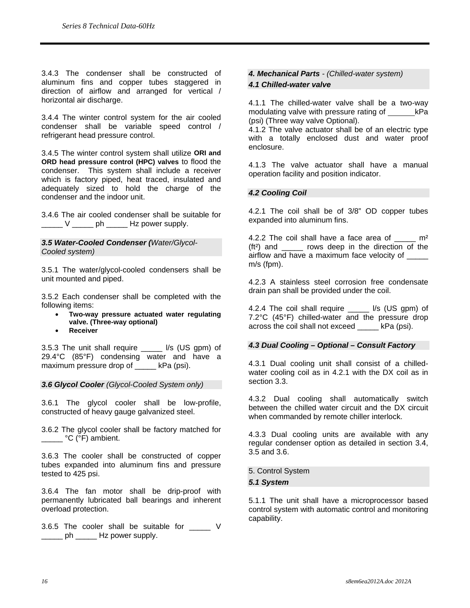3.4.3 The condenser shall be constructed of aluminum fins and copper tubes staggered in direction of airflow and arranged for vertical / horizontal air discharge.

3.4.4 The winter control system for the air cooled condenser shall be variable speed control / refrigerant head pressure control.

3.4.5 The winter control system shall utilize **ORI and ORD head pressure control (HPC) valves** to flood the condenser. This system shall include a receiver which is factory piped, heat traced, insulated and adequately sized to hold the charge of the condenser and the indoor unit.

3.4.6 The air cooled condenser shall be suitable for  $\frac{1}{2}$  V \_\_\_\_\_\_ ph \_\_\_\_\_\_ Hz power supply.

#### *3.5 Water-Cooled Condenser (Water/Glycol-Cooled system)*

3.5.1 The water/glycol-cooled condensers shall be unit mounted and piped.

3.5.2 Each condenser shall be completed with the following items:

- **Two-way pressure actuated water regulating valve. (Three-way optional)**
- **Receiver**

3.5.3 The unit shall require \_\_\_\_\_ l/s (US gpm) of 29.4°C (85°F) condensing water and have a maximum pressure drop of \_\_\_\_\_ kPa (psi).

*3.6 Glycol Cooler (Glycol-Cooled System only)* 

3.6.1 The glycol cooler shall be low-profile, constructed of heavy gauge galvanized steel.

3.6.2 The glycol cooler shall be factory matched for **C** (°F) ambient.

3.6.3 The cooler shall be constructed of copper tubes expanded into aluminum fins and pressure tested to 425 psi.

3.6.4 The fan motor shall be drip-proof with permanently lubricated ball bearings and inherent overload protection.

3.6.5 The cooler shall be suitable for V \_\_\_\_\_ ph \_\_\_\_\_\_ Hz power supply.

### *4. Mechanical Parts - (Chilled-water system)*

### *4.1 Chilled-water valve*

4.1.1 The chilled-water valve shall be a two-way modulating valve with pressure rating of kPa (psi) (Three way valve Optional).

4.1.2 The valve actuator shall be of an electric type with a totally enclosed dust and water proof enclosure.

4.1.3 The valve actuator shall have a manual operation facility and position indicator.

### *4.2 Cooling Coil*

4.2.1 The coil shall be of 3/8" OD copper tubes expanded into aluminum fins.

4.2.2 The coil shall have a face area of  $\mu$  m<sup>2</sup> (ft<sup>2</sup>) and rows deep in the direction of the airflow and have a maximum face velocity of m/s (fpm).

4.2.3 A stainless steel corrosion free condensate drain pan shall be provided under the coil.

4.2.4 The coil shall require \_\_\_\_\_ l/s (US gpm) of 7.2°C (45°F) chilled-water and the pressure drop across the coil shall not exceed \_\_\_\_\_ kPa (psi).

#### *4.3 Dual Cooling – Optional – Consult Factory*

4.3.1 Dual cooling unit shall consist of a chilledwater cooling coil as in 4.2.1 with the DX coil as in section 3.3.

4.3.2 Dual cooling shall automatically switch between the chilled water circuit and the DX circuit when commanded by remote chiller interlock.

4.3.3 Dual cooling units are available with any regular condenser option as detailed in section 3.4, 3.5 and 3.6.

5. Control System *5.1 System* 

5.1.1 The unit shall have a microprocessor based control system with automatic control and monitoring capability.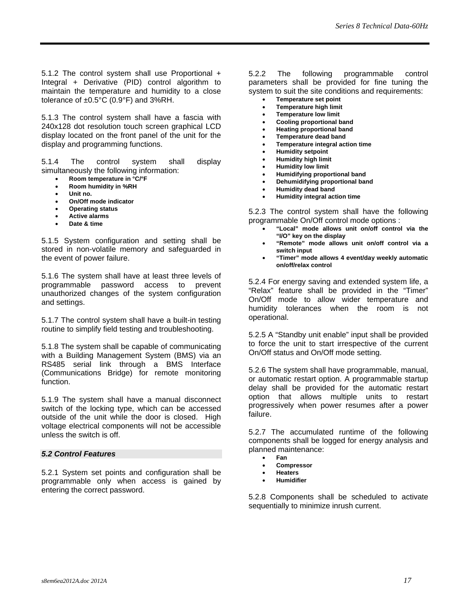5.1.2 The control system shall use Proportional + Integral + Derivative (PID) control algorithm to maintain the temperature and humidity to a close tolerance of  $\pm 0.5^{\circ}$ C (0.9°F) and 3%RH.

5.1.3 The control system shall have a fascia with 240x128 dot resolution touch screen graphical LCD display located on the front panel of the unit for the display and programming functions.

5.1.4 The control system shall display simultaneously the following information:

- **Room temperature in °C/°F**
- **Room humidity in %RH**
- **Unit no.**
- **On/Off mode indicator**
- **Operating status**
- **Active alarms**
- **Date & time**

5.1.5 System configuration and setting shall be stored in non-volatile memory and safeguarded in the event of power failure.

5.1.6 The system shall have at least three levels of programmable password access to prevent unauthorized changes of the system configuration and settings.

5.1.7 The control system shall have a built-in testing routine to simplify field testing and troubleshooting.

5.1.8 The system shall be capable of communicating with a Building Management System (BMS) via an RS485 serial link through a BMS Interface (Communications Bridge) for remote monitoring function.

5.1.9 The system shall have a manual disconnect switch of the locking type, which can be accessed outside of the unit while the door is closed. High voltage electrical components will not be accessible unless the switch is off.

#### *5.2 Control Features*

5.2.1 System set points and configuration shall be programmable only when access is gained by entering the correct password.

#### 5.2.2 The following programmable control parameters shall be provided for fine tuning the system to suit the site conditions and requirements:

- **Temperature set point**
- **Temperature high limit**
- **Temperature low limit**
- **Cooling proportional band**
- **Heating proportional band**  • **Temperature dead band**
- **Temperature integral action time**
- **Humidity setpoint**
- **Humidity high limit**
- **Humidity low limit**
- **Humidifying proportional band**
- **Dehumidifying proportional band**
- **Humidity dead band**
- **Humidity integral action time**

5.2.3 The control system shall have the following programmable On/Off control mode options :

- **"Local" mode allows unit on/off control via the "I/O" key on the display**
- **"Remote" mode allows unit on/off control via a switch input**
- **"Timer" mode allows 4 event/day weekly automatic on/off/relax control**

5.2.4 For energy saving and extended system life, a "Relax" feature shall be provided in the "Timer" On/Off mode to allow wider temperature and humidity tolerances when the room is not operational.

5.2.5 A "Standby unit enable" input shall be provided to force the unit to start irrespective of the current On/Off status and On/Off mode setting.

5.2.6 The system shall have programmable, manual, or automatic restart option. A programmable startup delay shall be provided for the automatic restart option that allows multiple units to restart progressively when power resumes after a power failure.

5.2.7 The accumulated runtime of the following components shall be logged for energy analysis and planned maintenance:

- **Fan**
- **Compressor**
- **Heaters**
- **Humidifier**

5.2.8 Components shall be scheduled to activate sequentially to minimize inrush current.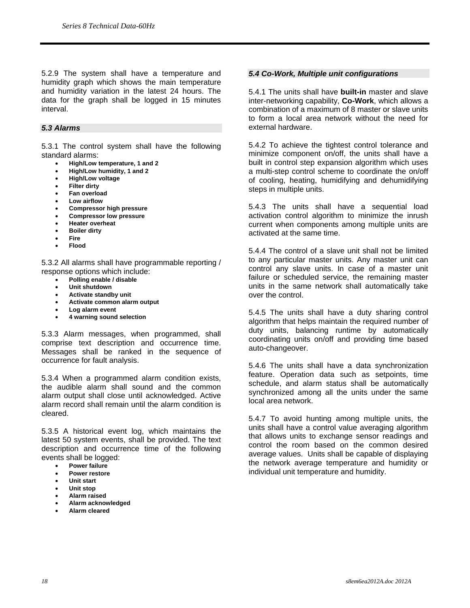5.2.9 The system shall have a temperature and humidity graph which shows the main temperature and humidity variation in the latest 24 hours. The data for the graph shall be logged in 15 minutes interval.

#### *5.3 Alarms*

5.3.1 The control system shall have the following standard alarms:

- **High/Low temperature, 1 and 2**
- **High/Low humidity, 1 and 2**
- **High/Low voltage**
- **Filter dirty**
- **Fan overload**
- **Low airflow**
- **Compressor high pressure**
- **Compressor low pressure**
- **Heater overheat**
- **Boiler dirty**
- **Fire**
- **Flood**

5.3.2 All alarms shall have programmable reporting / response options which include:

- **Polling enable / disable**
- **Unit shutdown**
- **Activate standby unit**
- **Activate common alarm output**
- **Log alarm event**
- **4 warning sound selection**

5.3.3 Alarm messages, when programmed, shall comprise text description and occurrence time. Messages shall be ranked in the sequence of occurrence for fault analysis.

5.3.4 When a programmed alarm condition exists, the audible alarm shall sound and the common alarm output shall close until acknowledged. Active alarm record shall remain until the alarm condition is cleared.

5.3.5 A historical event log, which maintains the latest 50 system events, shall be provided. The text description and occurrence time of the following events shall be logged:

- **Power failure**
- **Power restore**
- **Unit start**
- **Unit stop**
- **Alarm raised**
- **Alarm acknowledged**
- **Alarm cleared**

#### *5.4 Co-Work, Multiple unit configurations*

5.4.1 The units shall have **built-in** master and slave inter-networking capability, **Co-Work**, which allows a combination of a maximum of 8 master or slave units to form a local area network without the need for external hardware.

5.4.2 To achieve the tightest control tolerance and minimize component on/off, the units shall have a built in control step expansion algorithm which uses a multi-step control scheme to coordinate the on/off of cooling, heating, humidifying and dehumidifying steps in multiple units.

5.4.3 The units shall have a sequential load activation control algorithm to minimize the inrush current when components among multiple units are activated at the same time.

5.4.4 The control of a slave unit shall not be limited to any particular master units. Any master unit can control any slave units. In case of a master unit failure or scheduled service, the remaining master units in the same network shall automatically take over the control.

5.4.5 The units shall have a duty sharing control algorithm that helps maintain the required number of duty units, balancing runtime by automatically coordinating units on/off and providing time based auto-changeover.

5.4.6 The units shall have a data synchronization feature. Operation data such as setpoints, time schedule, and alarm status shall be automatically synchronized among all the units under the same local area network.

5.4.7 To avoid hunting among multiple units, the units shall have a control value averaging algorithm that allows units to exchange sensor readings and control the room based on the common desired average values. Units shall be capable of displaying the network average temperature and humidity or individual unit temperature and humidity.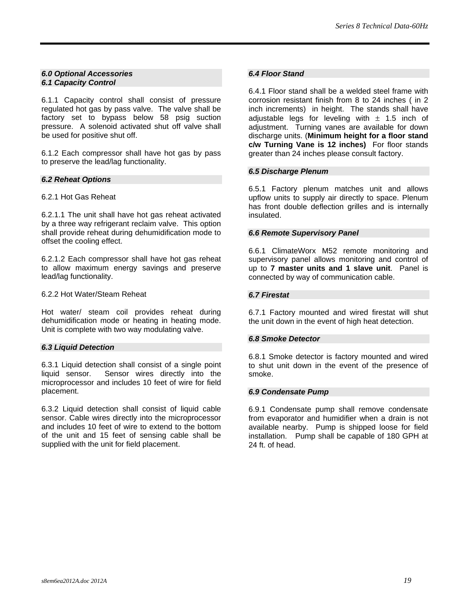#### *6.0 Optional Accessories 6.1 Capacity Control*

6.1.1 Capacity control shall consist of pressure regulated hot gas by pass valve. The valve shall be factory set to bypass below 58 psig suction pressure. A solenoid activated shut off valve shall be used for positive shut off.

6.1.2 Each compressor shall have hot gas by pass to preserve the lead/lag functionality.

#### *6.2 Reheat Options*

#### 6.2.1 Hot Gas Reheat

6.2.1.1 The unit shall have hot gas reheat activated by a three way refrigerant reclaim valve. This option shall provide reheat during dehumidification mode to offset the cooling effect.

6.2.1.2 Each compressor shall have hot gas reheat to allow maximum energy savings and preserve lead/lag functionality.

#### 6.2.2 Hot Water/Steam Reheat

Hot water/ steam coil provides reheat during dehumidification mode or heating in heating mode. Unit is complete with two way modulating valve.

#### *6.3 Liquid Detection*

6.3.1 Liquid detection shall consist of a single point liquid sensor. Sensor wires directly into the microprocessor and includes 10 feet of wire for field placement.

6.3.2 Liquid detection shall consist of liquid cable sensor. Cable wires directly into the microprocessor and includes 10 feet of wire to extend to the bottom of the unit and 15 feet of sensing cable shall be supplied with the unit for field placement.

#### *6.4 Floor Stand*

6.4.1 Floor stand shall be a welded steel frame with corrosion resistant finish from 8 to 24 inches ( in 2 inch increments) in height. The stands shall have adjustable legs for leveling with  $\pm$  1.5 inch of adjustment. Turning vanes are available for down discharge units. (**Minimum height for a floor stand c/w Turning Vane is 12 inches)** For floor stands greater than 24 inches please consult factory.

#### *6.5 Discharge Plenum*

6.5.1 Factory plenum matches unit and allows upflow units to supply air directly to space. Plenum has front double deflection grilles and is internally insulated.

#### *6.6 Remote Supervisory Panel*

6.6.1 ClimateWorx M52 remote monitoring and supervisory panel allows monitoring and control of up to **7 master units and 1 slave unit**. Panel is connected by way of communication cable.

#### *6.7 Firestat*

6.7.1 Factory mounted and wired firestat will shut the unit down in the event of high heat detection.

#### *6.8 Smoke Detector*

6.8.1 Smoke detector is factory mounted and wired to shut unit down in the event of the presence of smoke.

#### *6.9 Condensate Pump*

6.9.1 Condensate pump shall remove condensate from evaporator and humidifier when a drain is not available nearby. Pump is shipped loose for field installation. Pump shall be capable of 180 GPH at 24 ft. of head.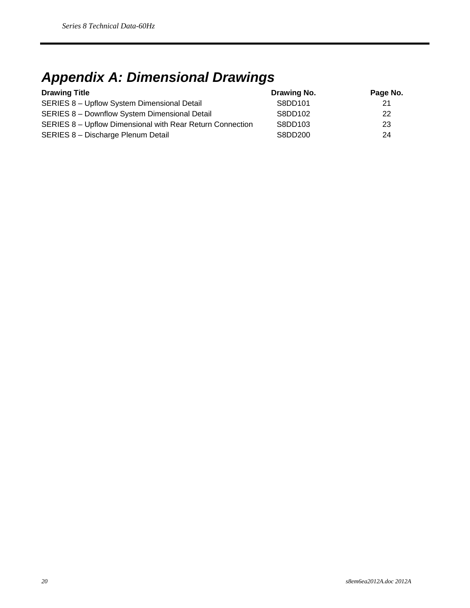## *Appendix A: Dimensional Drawings*

| <b>Drawing Title</b>                                      | Drawing No. | Page No. |
|-----------------------------------------------------------|-------------|----------|
| SERIES 8 - Upflow System Dimensional Detail               | S8DD101     | 21       |
| SERIES 8 - Downflow System Dimensional Detail             | S8DD102     | 22       |
| SERIES 8 - Upflow Dimensional with Rear Return Connection | S8DD103     | 23       |
| SERIES 8 - Discharge Plenum Detail                        | S8DD200     | 24       |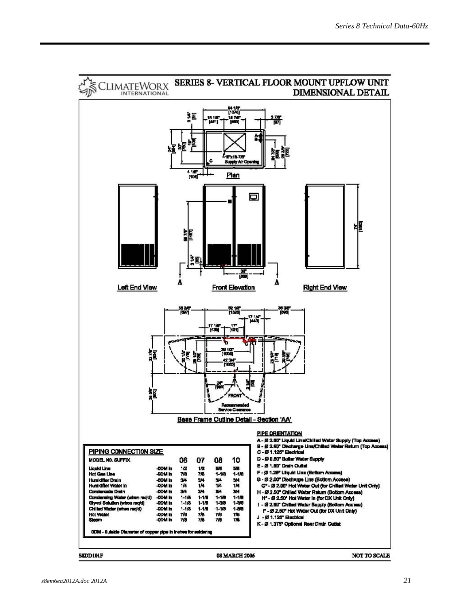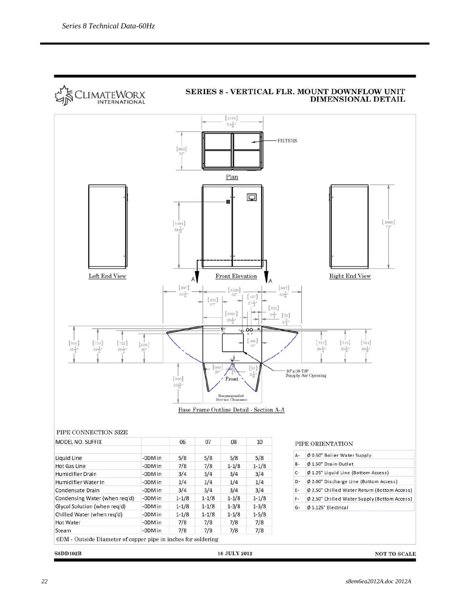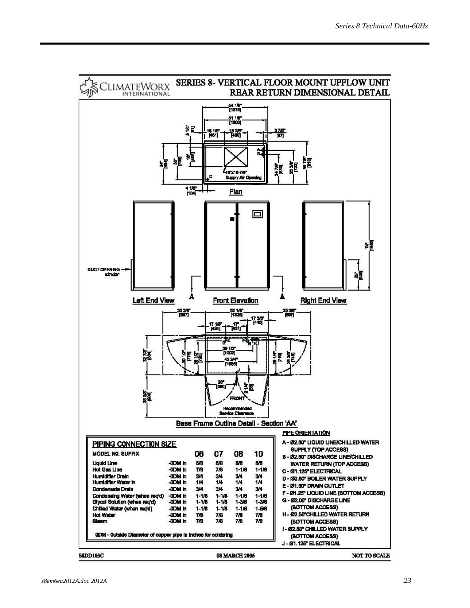